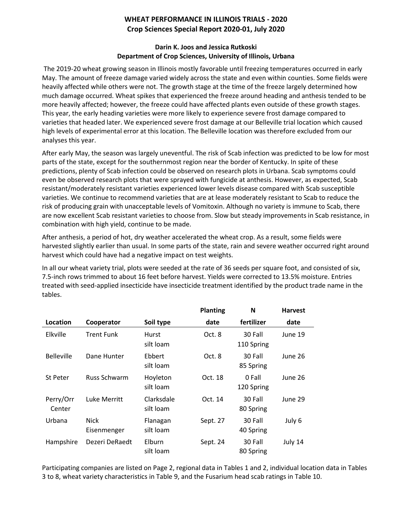## **WHEAT PERFORMANCE IN ILLINOIS TRIALS - 2020 Crop Sciences Special Report 2020-01, July 2020**

## **Darin K. Joos and Jessica Rutkoski Department of Crop Sciences, University of Illinois, Urbana**

The 2019-20 wheat growing season in Illinois mostly favorable until freezing temperatures occurred in early May. The amount of freeze damage varied widely across the state and even within counties. Some fields were heavily affected while others were not. The growth stage at the time of the freeze largely determined how much damage occurred. Wheat spikes that experienced the freeze around heading and anthesis tended to be more heavily affected; however, the freeze could have affected plants even outside of these growth stages. This year, the early heading varieties were more likely to experience severe frost damage compared to varieties that headed later. We experienced severe frost damage at our Belleville trial location which caused high levels of experimental error at this location. The Belleville location was therefore excluded from our analyses this year.

After early May, the season was largely uneventful. The risk of Scab infection was predicted to be low for most parts of the state, except for the southernmost region near the border of Kentucky. In spite of these predictions, plenty of Scab infection could be observed on research plots in Urbana. Scab symptoms could even be observed research plots that were sprayed with fungicide at anthesis. However, as expected, Scab resistant/moderately resistant varieties experienced lower levels disease compared with Scab susceptible varieties. We continue to recommend varieties that are at lease moderately resistant to Scab to reduce the risk of producing grain with unacceptable levels of Vomitoxin. Although no variety is immune to Scab, there are now excellent Scab resistant varieties to choose from. Slow but steady improvements in Scab resistance, in combination with high yield, continue to be made.

After anthesis, a period of hot, dry weather accelerated the wheat crop. As a result, some fields were harvested slightly earlier than usual. In some parts of the state, rain and severe weather occurred right around harvest which could have had a negative impact on test weights.

In all our wheat variety trial, plots were seeded at the rate of 36 seeds per square foot, and consisted of six, 7.5-inch rows trimmed to about 16 feet before harvest. Yields were corrected to 13.5% moisture. Entries treated with seed-applied insecticide have insecticide treatment identified by the product trade name in the tables.

|                     |                            |                         | <b>Planting</b> | N                     | <b>Harvest</b> |
|---------------------|----------------------------|-------------------------|-----------------|-----------------------|----------------|
| Location            | Cooperator                 | Soil type               | date            | fertilizer            | date           |
| Elkville            | Trent Funk                 | Hurst<br>silt loam      | Oct. 8          | 30 Fall<br>110 Spring | June 19        |
| <b>Belleville</b>   | Dane Hunter                | Ebbert<br>silt loam     | Oct. 8          | 30 Fall<br>85 Spring  | June 26        |
| St Peter            | <b>Russ Schwarm</b>        | Hoyleton<br>silt loam   | Oct. 18         | 0 Fall<br>120 Spring  | June 26        |
| Perry/Orr<br>Center | Luke Merritt               | Clarksdale<br>silt loam | Oct. 14         | 30 Fall<br>80 Spring  | June 29        |
| Urbana              | <b>Nick</b><br>Eisenmenger | Flanagan<br>silt loam   | Sept. 27        | 30 Fall<br>40 Spring  | July 6         |
| Hampshire           | Dezeri DeRaedt             | Elburn<br>silt loam     | Sept. 24        | 30 Fall<br>80 Spring  | July 14        |

Participating companies are listed on Page 2, regional data in Tables 1 and 2, individual location data in Tables 3 to 8, wheat variety characteristics in Table 9, and the Fusarium head scab ratings in Table 10.